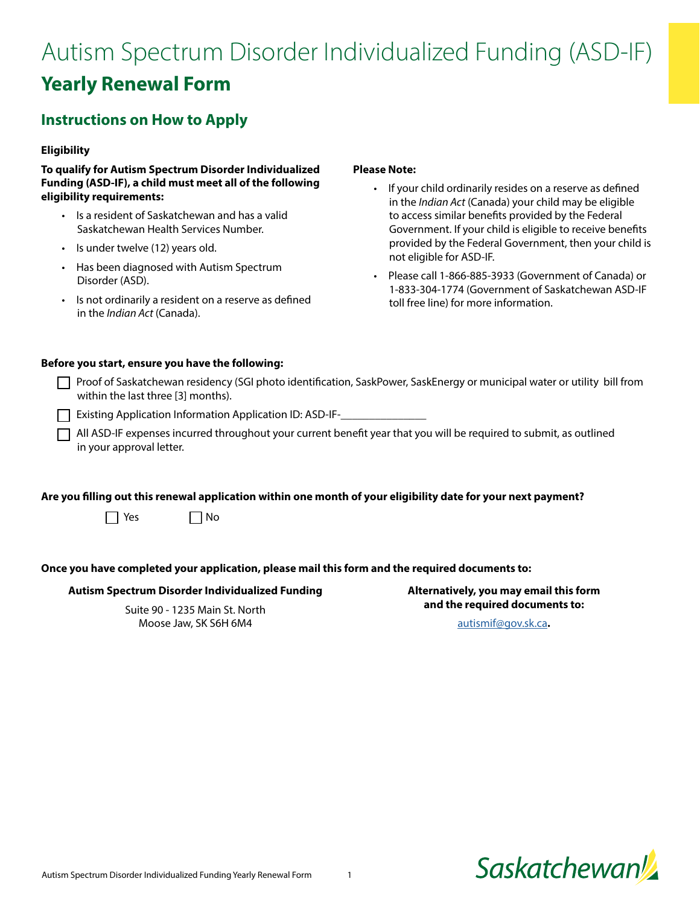# Autism Spectrum Disorder Individualized Funding (ASD-IF) **Yearly Renewal Form**

# **Instructions on How to Apply**

## **Eligibility**

**To qualify for Autism Spectrum Disorder Individualized Funding (ASD-IF), a child must meet all of the following eligibility requirements:**

- Is a resident of Saskatchewan and has a valid Saskatchewan Health Services Number.
- Is under twelve (12) years old.
- Has been diagnosed with Autism Spectrum Disorder (ASD).
- Is not ordinarily a resident on a reserve as defined in the *Indian Act* (Canada).

## **Please Note:**

- If your child ordinarily resides on a reserve as defined in the *Indian Act* (Canada) your child may be eligible to access similar benefits provided by the Federal Government. If your child is eligible to receive benefits provided by the Federal Government, then your child is not eligible for ASD-IF.
- Please call 1-866-885-3933 (Government of Canada) or 1-833-304-1774 (Government of Saskatchewan ASD-IF toll free line) for more information.

## **Before you start, ensure you have the following:**

| ↑ Proof of Saskatchewan residency (SGI photo identification, SaskPower, SaskEnergy or municipal water or utility bill from |
|----------------------------------------------------------------------------------------------------------------------------|
| within the last three [3] months).                                                                                         |

Existing Application Information Application ID: ASD-IF-\_\_\_\_\_\_\_\_\_\_\_\_\_\_\_\_\_\_\_\_\_\_\_\_

 $\Box$  All ASD-IF expenses incurred throughout your current benefit year that you will be required to submit, as outlined in your approval letter.

**Are you filling out this renewal application within one month of your eligibility date for your next payment?**

 $\Box$  Yes  $\Box$  No

## **Once you have completed your application, please mail this form and the required documents to:**

## **Autism Spectrum Disorder Individualized Funding**

Suite 90 - 1235 Main St. North Moose Jaw, SK S6H 6M4

**Alternatively, you may email this form and the required documents to:** 

[autismif@gov.sk.ca](mailto:autismif%40gov.sk.ca?subject=)**.** 

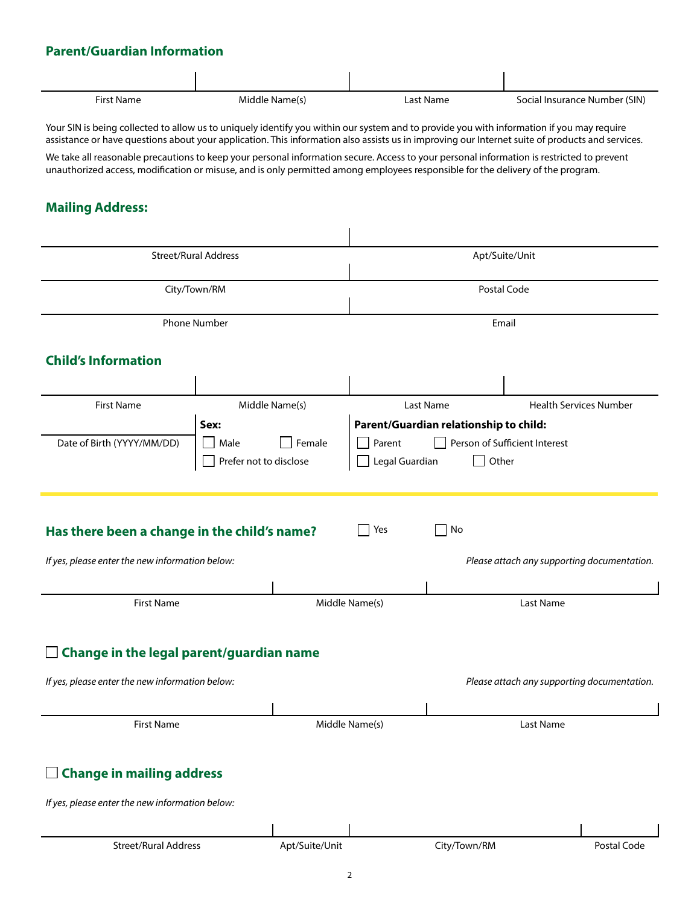## **Parent/Guardian Information**

| <b>First Name</b>                                                                                                                                                                                                                                                                                                                                                                                                                                                                                                                                                            | Middle Name(s)                           | <b>Last Name</b>                       | Social Insurance Number (SIN)               |  |  |  |
|------------------------------------------------------------------------------------------------------------------------------------------------------------------------------------------------------------------------------------------------------------------------------------------------------------------------------------------------------------------------------------------------------------------------------------------------------------------------------------------------------------------------------------------------------------------------------|------------------------------------------|----------------------------------------|---------------------------------------------|--|--|--|
| Your SIN is being collected to allow us to uniquely identify you within our system and to provide you with information if you may require<br>assistance or have questions about your application. This information also assists us in improving our Internet suite of products and services.<br>We take all reasonable precautions to keep your personal information secure. Access to your personal information is restricted to prevent<br>unauthorized access, modification or misuse, and is only permitted among employees responsible for the delivery of the program. |                                          |                                        |                                             |  |  |  |
| <b>Mailing Address:</b>                                                                                                                                                                                                                                                                                                                                                                                                                                                                                                                                                      |                                          |                                        |                                             |  |  |  |
|                                                                                                                                                                                                                                                                                                                                                                                                                                                                                                                                                                              | <b>Street/Rural Address</b>              |                                        | Apt/Suite/Unit                              |  |  |  |
|                                                                                                                                                                                                                                                                                                                                                                                                                                                                                                                                                                              |                                          |                                        |                                             |  |  |  |
|                                                                                                                                                                                                                                                                                                                                                                                                                                                                                                                                                                              | City/Town/RM                             |                                        | Postal Code                                 |  |  |  |
|                                                                                                                                                                                                                                                                                                                                                                                                                                                                                                                                                                              | <b>Phone Number</b>                      |                                        | Email                                       |  |  |  |
| <b>Child's Information</b>                                                                                                                                                                                                                                                                                                                                                                                                                                                                                                                                                   |                                          |                                        |                                             |  |  |  |
|                                                                                                                                                                                                                                                                                                                                                                                                                                                                                                                                                                              |                                          |                                        |                                             |  |  |  |
| <b>First Name</b>                                                                                                                                                                                                                                                                                                                                                                                                                                                                                                                                                            | Middle Name(s)                           | <b>Last Name</b>                       | <b>Health Services Number</b>               |  |  |  |
|                                                                                                                                                                                                                                                                                                                                                                                                                                                                                                                                                                              | Sex:                                     | Parent/Guardian relationship to child: |                                             |  |  |  |
| Date of Birth (YYYY/MM/DD)                                                                                                                                                                                                                                                                                                                                                                                                                                                                                                                                                   | Male<br>Female<br>Prefer not to disclose | Parent<br>Legal Guardian<br>Other      | Person of Sufficient Interest               |  |  |  |
| No<br>Has there been a change in the child's name?<br>Yes                                                                                                                                                                                                                                                                                                                                                                                                                                                                                                                    |                                          |                                        |                                             |  |  |  |
| If yes, please enter the new information below:                                                                                                                                                                                                                                                                                                                                                                                                                                                                                                                              |                                          |                                        | Please attach any supporting documentation. |  |  |  |
|                                                                                                                                                                                                                                                                                                                                                                                                                                                                                                                                                                              |                                          |                                        |                                             |  |  |  |
| <b>First Name</b>                                                                                                                                                                                                                                                                                                                                                                                                                                                                                                                                                            |                                          | Middle Name(s)                         | Last Name                                   |  |  |  |
| Change in the legal parent/guardian name<br>If yes, please enter the new information below:<br>Please attach any supporting documentation.                                                                                                                                                                                                                                                                                                                                                                                                                                   |                                          |                                        |                                             |  |  |  |
| <b>First Name</b>                                                                                                                                                                                                                                                                                                                                                                                                                                                                                                                                                            |                                          | Middle Name(s)                         | Last Name                                   |  |  |  |
|                                                                                                                                                                                                                                                                                                                                                                                                                                                                                                                                                                              |                                          |                                        |                                             |  |  |  |
| <b>Change in mailing address</b><br>ப                                                                                                                                                                                                                                                                                                                                                                                                                                                                                                                                        |                                          |                                        |                                             |  |  |  |
| If yes, please enter the new information below:                                                                                                                                                                                                                                                                                                                                                                                                                                                                                                                              |                                          |                                        |                                             |  |  |  |
|                                                                                                                                                                                                                                                                                                                                                                                                                                                                                                                                                                              |                                          |                                        |                                             |  |  |  |
| <b>Street/Rural Address</b>                                                                                                                                                                                                                                                                                                                                                                                                                                                                                                                                                  | Apt/Suite/Unit                           | City/Town/RM                           | Postal Code                                 |  |  |  |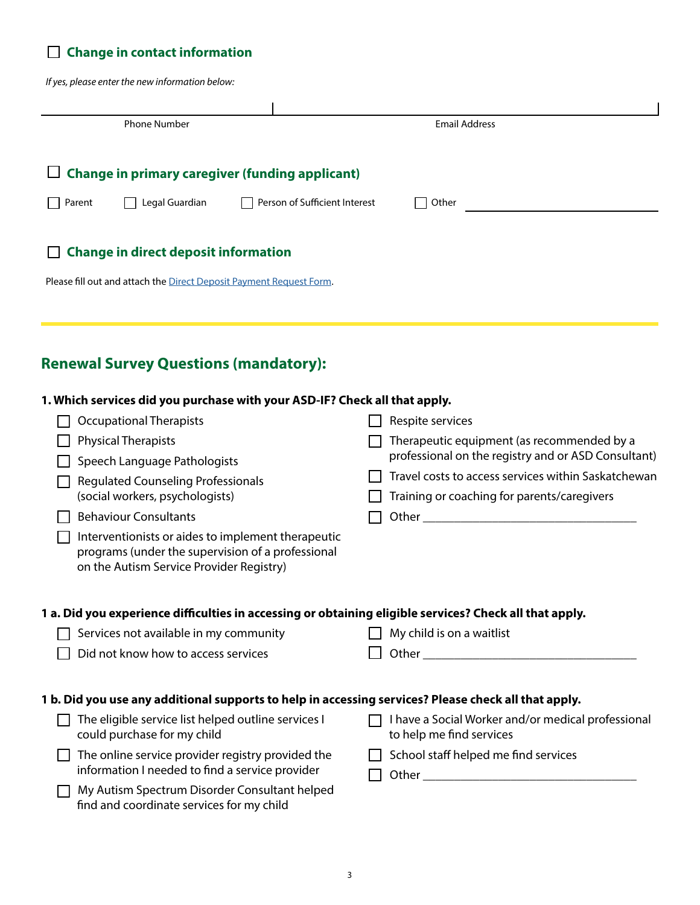## **Change in contact information**

*If yes, please enter the new information below:*

| if yes, please enter the new information below:                                                         |                                                                                                    |
|---------------------------------------------------------------------------------------------------------|----------------------------------------------------------------------------------------------------|
|                                                                                                         |                                                                                                    |
| <b>Phone Number</b>                                                                                     | <b>Email Address</b>                                                                               |
|                                                                                                         |                                                                                                    |
| <b>Change in primary caregiver (funding applicant)</b>                                                  |                                                                                                    |
| Legal Guardian<br>Person of Sufficient Interest<br>Parent                                               | Other                                                                                              |
| <b>Change in direct deposit information</b>                                                             |                                                                                                    |
| Please fill out and attach the Direct Deposit Payment Request Form.                                     |                                                                                                    |
|                                                                                                         |                                                                                                    |
|                                                                                                         |                                                                                                    |
| <b>Renewal Survey Questions (mandatory):</b>                                                            |                                                                                                    |
| 1. Which services did you purchase with your ASD-IF? Check all that apply.                              |                                                                                                    |
| <b>Occupational Therapists</b>                                                                          | Respite services                                                                                   |
| <b>Physical Therapists</b>                                                                              | Therapeutic equipment (as recommended by a                                                         |
| Speech Language Pathologists                                                                            | professional on the registry and or ASD Consultant)                                                |
| <b>Regulated Counseling Professionals</b><br>(social workers, psychologists)                            | Travel costs to access services within Saskatchewan<br>Training or coaching for parents/caregivers |
| <b>Behaviour Consultants</b>                                                                            |                                                                                                    |
| Interventionists or aides to implement therapeutic                                                      |                                                                                                    |
| programs (under the supervision of a professional<br>on the Autism Service Provider Registry)           |                                                                                                    |
|                                                                                                         |                                                                                                    |
| 1 a. Did you experience difficulties in accessing or obtaining eligible services? Check all that apply. |                                                                                                    |
| Services not available in my community                                                                  | My child is on a waitlist                                                                          |
| Did not know how to access services                                                                     |                                                                                                    |
| 1 b. Did you use any additional supports to help in accessing services? Please check all that apply.    |                                                                                                    |
| The eligible service list helped outline services I<br>could purchase for my child                      | I have a Social Worker and/or medical professional<br>to help me find services                     |
| The online service provider registry provided the<br>information I needed to find a service provider    | School staff helped me find services                                                               |
| My Autism Spectrum Disorder Consultant helped<br>find and coordinate services for my child              |                                                                                                    |
|                                                                                                         |                                                                                                    |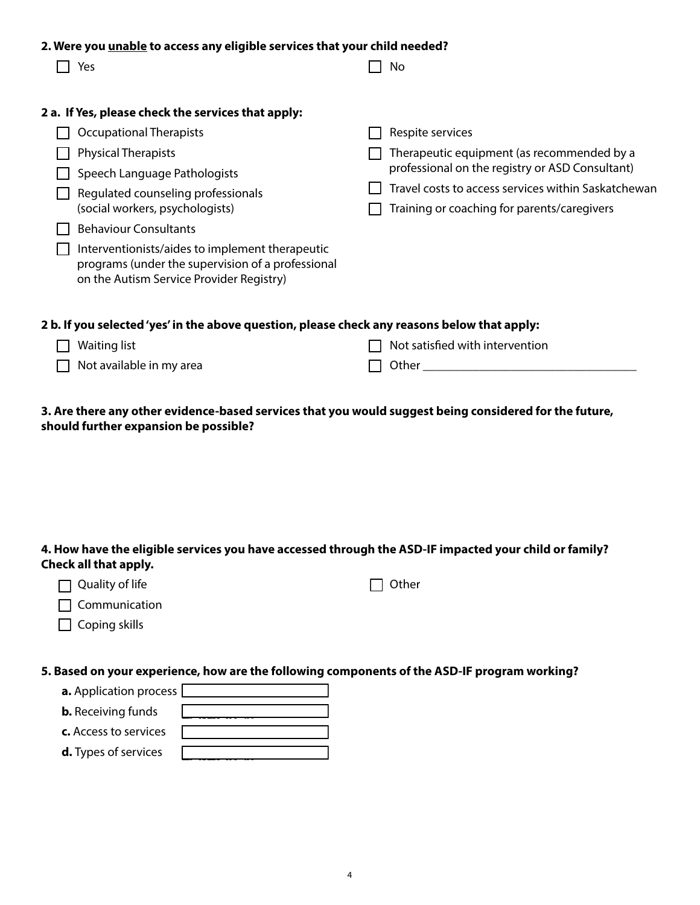| 2. Were you unable to access any eligible services that your child needed? |                                                                                               |  |                                                     |  |  |
|----------------------------------------------------------------------------|-----------------------------------------------------------------------------------------------|--|-----------------------------------------------------|--|--|
|                                                                            | Yes                                                                                           |  | No                                                  |  |  |
|                                                                            |                                                                                               |  |                                                     |  |  |
|                                                                            | 2 a. If Yes, please check the services that apply:                                            |  |                                                     |  |  |
|                                                                            | <b>Occupational Therapists</b>                                                                |  | Respite services                                    |  |  |
|                                                                            | <b>Physical Therapists</b>                                                                    |  | Therapeutic equipment (as recommended by a          |  |  |
|                                                                            | Speech Language Pathologists                                                                  |  | professional on the registry or ASD Consultant)     |  |  |
|                                                                            | Regulated counseling professionals                                                            |  | Travel costs to access services within Saskatchewan |  |  |
|                                                                            | (social workers, psychologists)                                                               |  | Training or coaching for parents/caregivers         |  |  |
|                                                                            | <b>Behaviour Consultants</b>                                                                  |  |                                                     |  |  |
|                                                                            | Interventionists/aides to implement therapeutic                                               |  |                                                     |  |  |
|                                                                            | programs (under the supervision of a professional<br>on the Autism Service Provider Registry) |  |                                                     |  |  |
|                                                                            |                                                                                               |  |                                                     |  |  |
|                                                                            |                                                                                               |  |                                                     |  |  |
|                                                                            | 2 b. If you selected 'yes' in the above question, please check any reasons below that apply:  |  |                                                     |  |  |
|                                                                            | Waiting list                                                                                  |  | Not satisfied with intervention                     |  |  |
|                                                                            | Not available in my area                                                                      |  | Other                                               |  |  |

**3. Are there any other evidence-based services that you would suggest being considered for the future, should further expansion be possible?** 

## **4. How have the eligible services you have accessed through the ASD-IF impacted your child or family? Check all that apply.**

| $\Box$ Quality of life | $\Box$ Other |
|------------------------|--------------|
| $\Box$ Communication   |              |

## **5. Based on your experience, how are the following components of the ASD-IF program working?**

|  |  | <b>a.</b> Application process [ |  |
|--|--|---------------------------------|--|
|  |  |                                 |  |

**b.** Receiving funds

 $\Box$  Coping skills

- **c.** Access to services
- **d.** Types of services

Very Poorly Poorly Well Well Don't Know/Unsure